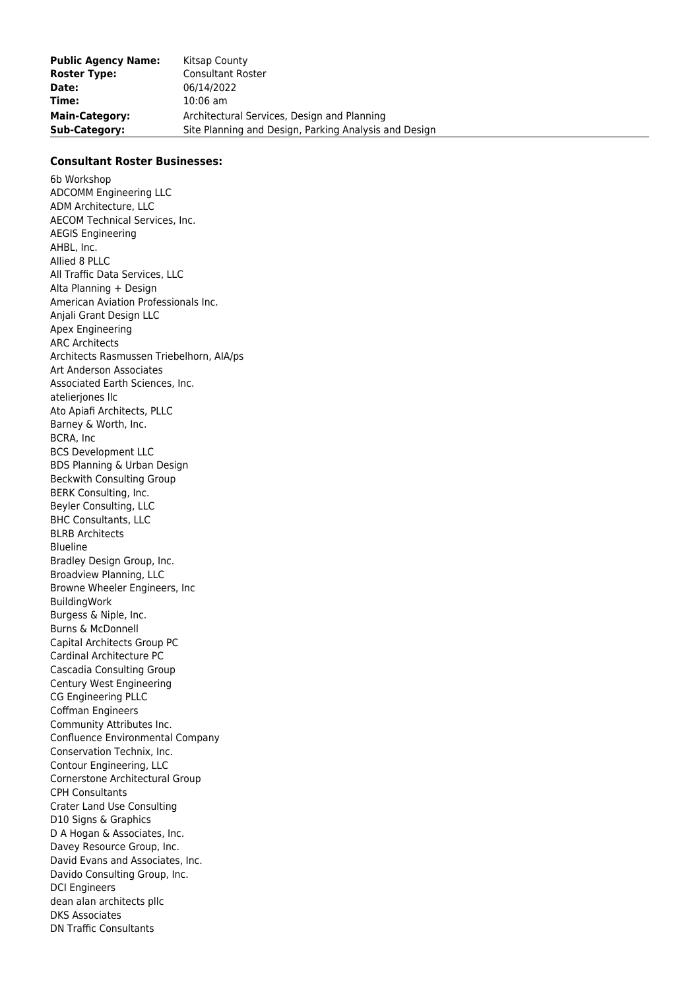## **Consultant Roster Businesses:**

6b Workshop ADCOMM Engineering LLC ADM Architecture, LLC AECOM Technical Services, Inc. AEGIS Engineering AHBL, Inc. Allied 8 PLLC All Traffic Data Services, LLC Alta Planning + Design American Aviation Professionals Inc. Anjali Grant Design LLC Apex Engineering ARC Architects Architects Rasmussen Triebelhorn, AIA/ps Art Anderson Associates Associated Earth Sciences, Inc. atelieriones llc Ato Apiafi Architects, PLLC Barney & Worth, Inc. BCRA, Inc BCS Development LLC BDS Planning & Urban Design Beckwith Consulting Group BERK Consulting, Inc. Beyler Consulting, LLC BHC Consultants, LLC BLRB Architects Blueline Bradley Design Group, Inc. Broadview Planning, LLC Browne Wheeler Engineers, Inc BuildingWork Burgess & Niple, Inc. Burns & McDonnell Capital Architects Group PC Cardinal Architecture PC Cascadia Consulting Group Century West Engineering CG Engineering PLLC Coffman Engineers Community Attributes Inc. Confluence Environmental Company Conservation Technix, Inc. Contour Engineering, LLC Cornerstone Architectural Group CPH Consultants Crater Land Use Consulting D10 Signs & Graphics D A Hogan & Associates, Inc. Davey Resource Group, Inc. David Evans and Associates, Inc. Davido Consulting Group, Inc. DCI Engineers dean alan architects pllc DKS Associates DN Traffic Consultants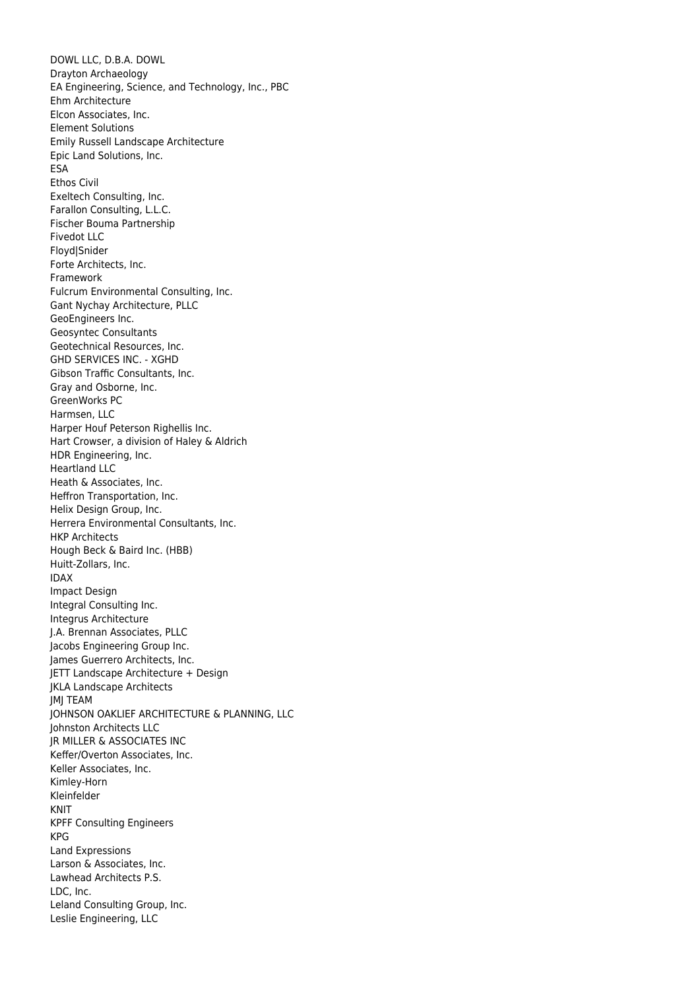DOWL LLC, D.B.A. DOWL Drayton Archaeology EA Engineering, Science, and Technology, Inc., PBC Ehm Architecture Elcon Associates, Inc. Element Solutions Emily Russell Landscape Architecture Epic Land Solutions, Inc. ESA Ethos Civil Exeltech Consulting, Inc. Farallon Consulting, L.L.C. Fischer Bouma Partnership Fivedot LLC Floyd|Snider Forte Architects, Inc. Framework Fulcrum Environmental Consulting, Inc. Gant Nychay Architecture, PLLC GeoEngineers Inc. Geosyntec Consultants Geotechnical Resources, Inc. GHD SERVICES INC. - XGHD Gibson Traffic Consultants, Inc. Gray and Osborne, Inc. GreenWorks PC Harmsen, LLC Harper Houf Peterson Righellis Inc. Hart Crowser, a division of Haley & Aldrich HDR Engineering, Inc. Heartland LLC Heath & Associates, Inc. Heffron Transportation, Inc. Helix Design Group, Inc. Herrera Environmental Consultants, Inc. HKP Architects Hough Beck & Baird Inc. (HBB) Huitt-Zollars, Inc. IDAX Impact Design Integral Consulting Inc. Integrus Architecture J.A. Brennan Associates, PLLC Jacobs Engineering Group Inc. James Guerrero Architects, Inc. JETT Landscape Architecture + Design JKLA Landscape Architects JMJ TEAM JOHNSON OAKLIEF ARCHITECTURE & PLANNING, LLC Johnston Architects LLC JR MILLER & ASSOCIATES INC Keffer/Overton Associates, Inc. Keller Associates, Inc. Kimley-Horn Kleinfelder KNIT KPFF Consulting Engineers KPG Land Expressions Larson & Associates, Inc. Lawhead Architects P.S. LDC, Inc. Leland Consulting Group, Inc. Leslie Engineering, LLC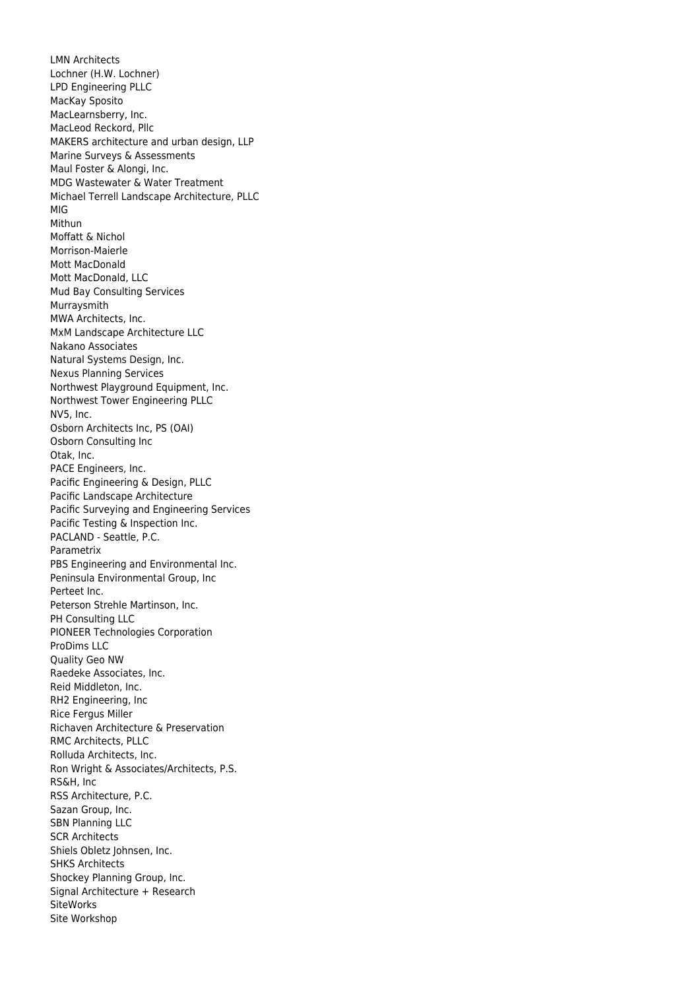LMN Architects Lochner (H.W. Lochner) LPD Engineering PLLC MacKay Sposito MacLearnsberry, Inc. MacLeod Reckord, Pllc MAKERS architecture and urban design, LLP Marine Surveys & Assessments Maul Foster & Alongi, Inc. MDG Wastewater & Water Treatment Michael Terrell Landscape Architecture, PLLC MIG Mithun Moffatt & Nichol Morrison-Maierle Mott MacDonald Mott MacDonald, LLC Mud Bay Consulting Services Murraysmith MWA Architects, Inc. MxM Landscape Architecture LLC Nakano Associates Natural Systems Design, Inc. Nexus Planning Services Northwest Playground Equipment, Inc. Northwest Tower Engineering PLLC NV5, Inc. Osborn Architects Inc, PS (OAI) Osborn Consulting Inc Otak, Inc. PACE Engineers, Inc. Pacific Engineering & Design, PLLC Pacific Landscape Architecture Pacific Surveying and Engineering Services Pacific Testing & Inspection Inc. PACLAND - Seattle, P.C. Parametrix PBS Engineering and Environmental Inc. Peninsula Environmental Group, Inc Perteet Inc. Peterson Strehle Martinson, Inc. PH Consulting LLC PIONEER Technologies Corporation ProDims LLC Quality Geo NW Raedeke Associates, Inc. Reid Middleton, Inc. RH2 Engineering, Inc Rice Fergus Miller Richaven Architecture & Preservation RMC Architects, PLLC Rolluda Architects, Inc. Ron Wright & Associates/Architects, P.S. RS&H, Inc RSS Architecture, P.C. Sazan Group, Inc. SBN Planning LLC SCR Architects Shiels Obletz Johnsen, Inc. SHKS Architects Shockey Planning Group, Inc. Signal Architecture + Research **SiteWorks** Site Workshop